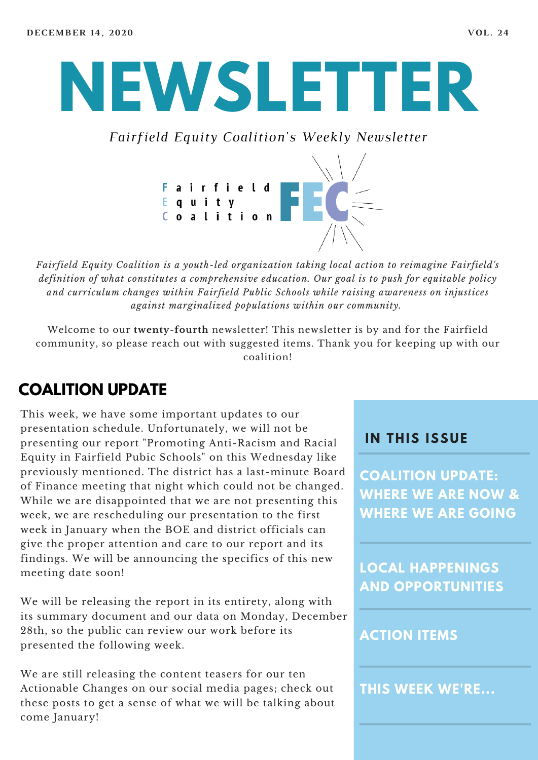# **NEWSLETTER**

*Fairfield Equity Coalition's Weekly Newsletter*



*Fairfield Equity Coalition is a youth-led organization taking local action to reimagine Fairfield's definition of what constitutes a comprehensive education. Our goal is to push for equitable policy and curriculum changes within Fairfield Public Schools while raising awareness on injustices against marginalized populations within our community.*

Welcome to our **twenty-fourth** newsletter! This newsletter is by and for the Fairfield community, so please reach out with suggested items. Thank you for keeping up with our coalition!

#### **COALITION UPDATE**

This week, we have some important updates to our presentation schedule. Unfortunately, we will not be presenting our report "Promoting Anti-Racism and Racial Equity in Fairfield Pubic Schools" on this Wednesday like previously mentioned. The district has a last-minute Board of Finance meeting that night which could not be changed. While we are disappointed that we are not presenting this week, we are rescheduling our presentation to the first week in January when the BOE and district officials can give the proper attention and care to our report and its findings. We will be announcing the specifics of this new meeting date soon!

We will be releasing the report in its entirety, along with its summary document and our data on Monday, December 28th, so the public can review our work before its presented the following week.

We are still releasing the content teasers for our ten Actionable Changes on our social media pages; check out these posts to get a sense of what we will be talking about come January!

#### **I N THIS ISSUE**

**COALITION UPDATE: WHERE WE ARE NOW & WHERE WE ARE GOING**

**LOCAL HAPPENINGS AND OPPORTUNITIES**

#### **ACTION ITEMS**

**THIS WEEK WE'RE...**